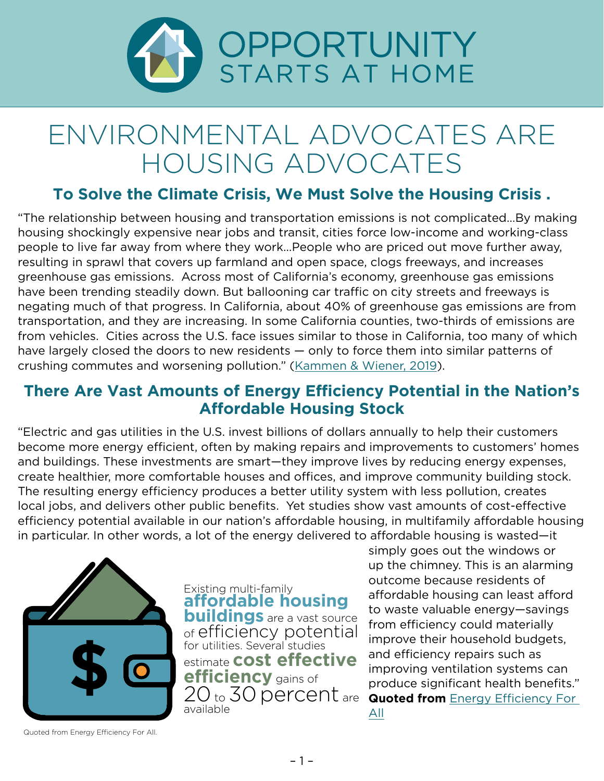

## ENVIRONMENTAL ADVOCATES ARE HOUSING ADVOCATES

## **To Solve the Climate Crisis, We Must Solve the Housing Crisis .**

"The relationship between housing and transportation emissions is not complicated…By making housing shockingly expensive near jobs and transit, cities force low-income and working-class people to live far away from where they work…People who are priced out move further away, resulting in sprawl that covers up farmland and open space, clogs freeways, and increases greenhouse gas emissions. Across most of California's economy, greenhouse gas emissions have been trending steadily down. But ballooning car traffic on city streets and freeways is negating much of that progress. In California, about 40% of greenhouse gas emissions are from transportation, and they are increasing. In some California counties, two-thirds of emissions are from vehicles. Cities across the U.S. face issues similar to those in California, too many of which have largely closed the doors to new residents — only to force them into similar patterns of crushing commutes and worsening pollution." ([Kammen & Wiener, 2019](https://www.nytimes.com/2019/03/25/opinion/california-home-prices-climate.html)).

## **There Are Vast Amounts of Energy Efficiency Potential in the Nation's Affordable Housing Stock**

"Electric and gas utilities in the U.S. invest billions of dollars annually to help their customers become more energy efficient, often by making repairs and improvements to customers' homes and buildings. These investments are smart—they improve lives by reducing energy expenses, create healthier, more comfortable houses and offices, and improve community building stock. The resulting energy efficiency produces a better utility system with less pollution, creates local jobs, and delivers other public benefits. Yet studies show vast amounts of cost-effective efficiency potential available in our nation's affordable housing, in multifamily affordable housing in particular. In other words, a lot of the energy delivered to affordable housing is wasted—it



**affordable housing buildings** are a vast source [of efficiency potential](http://www.energyefficiencyforall.org/sites/default/files/EEFA PROGRAM GUIDE.pdf) for utilities. Several studies estimate **cost effective efficiency** gains of 20 to 30 percent are available Existing multi-family

simply goes out the windows or up the chimney. This is an alarming outcome because residents of affordable housing can least afford to waste valuable energy—savings from efficiency could materially improve their household budgets, and efficiency repairs such as improving ventilation systems can produce significant health benefits." **Quoted from Energy Efficiency For** [All](http://www.energyefficiencyforall.org/sites/default/files/EEFA PROGRAM GUIDE.pdf)

Quoted from Energy Efficiency For All.